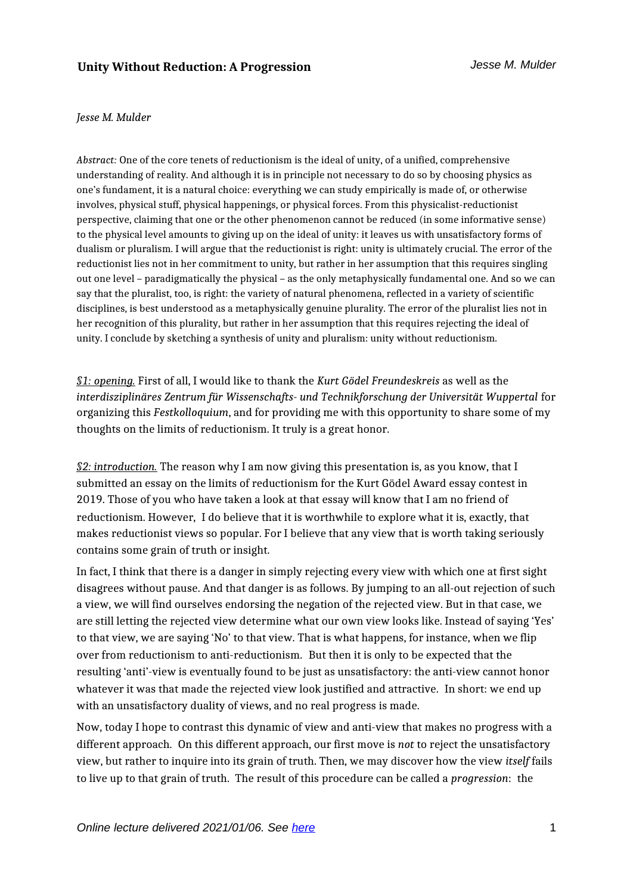#### *Jesse M. Mulder*

*Abstract:* One of the core tenets of reductionism is the ideal of unity, of a unified, comprehensive understanding of reality. And although it is in principle not necessary to do so by choosing physics as one's fundament, it is a natural choice: everything we can study empirically is made of, or otherwise involves, physical stuff, physical happenings, or physical forces. From this physicalist-reductionist perspective, claiming that one or the other phenomenon cannot be reduced (in some informative sense) to the physical level amounts to giving up on the ideal of unity: it leaves us with unsatisfactory forms of dualism or pluralism. I will argue that the reductionist is right: unity is ultimately crucial. The error of the reductionist lies not in her commitment to unity, but rather in her assumption that this requires singling out one level – paradigmatically the physical – as the only metaphysically fundamental one. And so we can say that the pluralist, too, is right: the variety of natural phenomena, reflected in a variety of scientific disciplines, is best understood as a metaphysically genuine plurality. The error of the pluralist lies not in her recognition of this plurality, but rather in her assumption that this requires rejecting the ideal of unity. I conclude by sketching a synthesis of unity and pluralism: unity without reductionism.

*§1: opening.* First of all, I would like to thank the *Kurt Gödel Freundeskreis* as well as the *interdisziplinäres Zentrum für Wissenschafts- und Technikforschung der Universität Wuppertal* for organizing this *Festkolloquium*, and for providing me with this opportunity to share some of my thoughts on the limits of reductionism. It truly is a great honor.

*§2: introduction.* The reason why I am now giving this presentation is, as you know, that I submitted an essay on the limits of reductionism for the Kurt Gödel Award essay contest in 2019. Those of you who have taken a look at that essay will know that I am no friend of reductionism. However, I do believe that it is worthwhile to explore what it is, exactly, that makes reductionist views so popular. For I believe that any view that is worth taking seriously contains some grain of truth or insight.

In fact, I think that there is a danger in simply rejecting every view with which one at first sight disagrees without pause. And that danger is as follows. By jumping to an all-out rejection of such a view, we will find ourselves endorsing the negation of the rejected view. But in that case, we are still letting the rejected view determine what our own view looks like. Instead of saying 'Yes' to that view, we are saying 'No' to that view. That is what happens, for instance, when we flip over from reductionism to anti-reductionism. But then it is only to be expected that the resulting 'anti'-view is eventually found to be just as unsatisfactory: the anti-view cannot honor whatever it was that made the rejected view look justified and attractive. In short: we end up with an unsatisfactory duality of views, and no real progress is made.

Now, today I hope to contrast this dynamic of view and anti-view that makes no progress with a different approach. On this different approach, our first move is *not* to reject the unsatisfactory view, but rather to inquire into its grain of truth. Then, we may discover how the view *itself* fails to live up to that grain of truth. The result of this procedure can be called a *progression*: the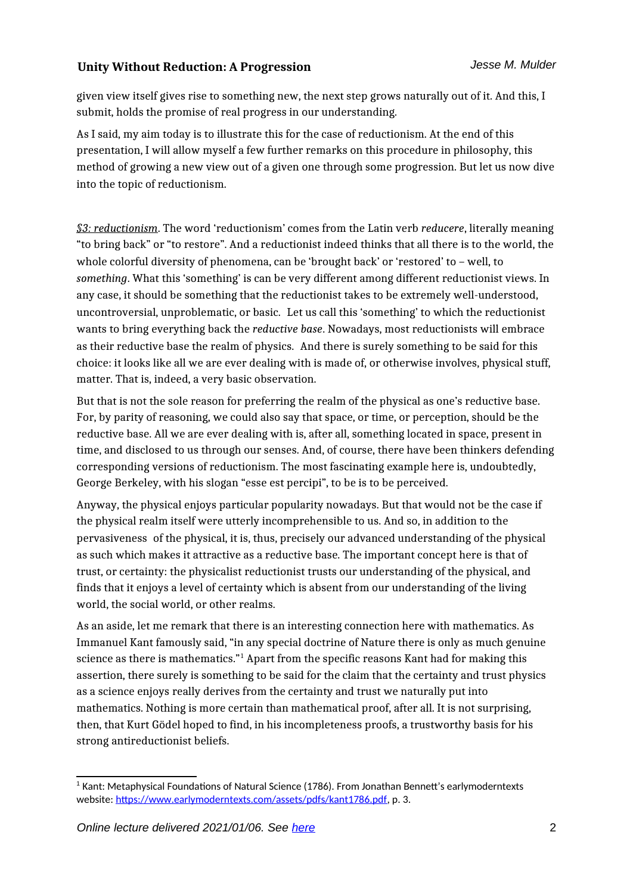given view itself gives rise to something new, the next step grows naturally out of it. And this, I submit, holds the promise of real progress in our understanding.

As I said, my aim today is to illustrate this for the case of reductionism. At the end of this presentation, I will allow myself a few further remarks on this procedure in philosophy, this method of growing a new view out of a given one through some progression. But let us now dive into the topic of reductionism.

*§3: reductionism*. The word 'reductionism' comes from the Latin verb *reducere*, literally meaning "to bring back" or "to restore". And a reductionist indeed thinks that all there is to the world, the whole colorful diversity of phenomena, can be 'brought back' or 'restored' to – well, to *something*. What this 'something' is can be very different among different reductionist views. In any case, it should be something that the reductionist takes to be extremely well-understood, uncontroversial, unproblematic, or basic. Let us call this 'something' to which the reductionist wants to bring everything back the *reductive base*. Nowadays, most reductionists will embrace as their reductive base the realm of physics. And there is surely something to be said for this choice: it looks like all we are ever dealing with is made of, or otherwise involves, physical stuff, matter. That is, indeed, a very basic observation.

But that is not the sole reason for preferring the realm of the physical as one's reductive base. For, by parity of reasoning, we could also say that space, or time, or perception, should be the reductive base. All we are ever dealing with is, after all, something located in space, present in time, and disclosed to us through our senses. And, of course, there have been thinkers defending corresponding versions of reductionism. The most fascinating example here is, undoubtedly, George Berkeley, with his slogan "esse est percipi", to be is to be perceived.

Anyway, the physical enjoys particular popularity nowadays. But that would not be the case if the physical realm itself were utterly incomprehensible to us. And so, in addition to the pervasiveness of the physical, it is, thus, precisely our advanced understanding of the physical as such which makes it attractive as a reductive base. The important concept here is that of trust, or certainty: the physicalist reductionist trusts our understanding of the physical, and finds that it enjoys a level of certainty which is absent from our understanding of the living world, the social world, or other realms.

As an aside, let me remark that there is an interesting connection here with mathematics. As Immanuel Kant famously said, "in any special doctrine of Nature there is only as much genuine science as there is mathematics." $^1$  $^1$  Apart from the specific reasons Kant had for making this assertion, there surely is something to be said for the claim that the certainty and trust physics as a science enjoys really derives from the certainty and trust we naturally put into mathematics. Nothing is more certain than mathematical proof, after all. It is not surprising, then, that Kurt Gödel hoped to find, in his incompleteness proofs, a trustworthy basis for his strong antireductionist beliefs.

<span id="page-1-0"></span> $^{\rm 1}$  Kant: Metaphysical Foundations of Natural Science (1786). From Jonathan Bennett's earlymoderntexts website: <https://www.earlymoderntexts.com/assets/pdfs/kant1786.pdf>, p. 3.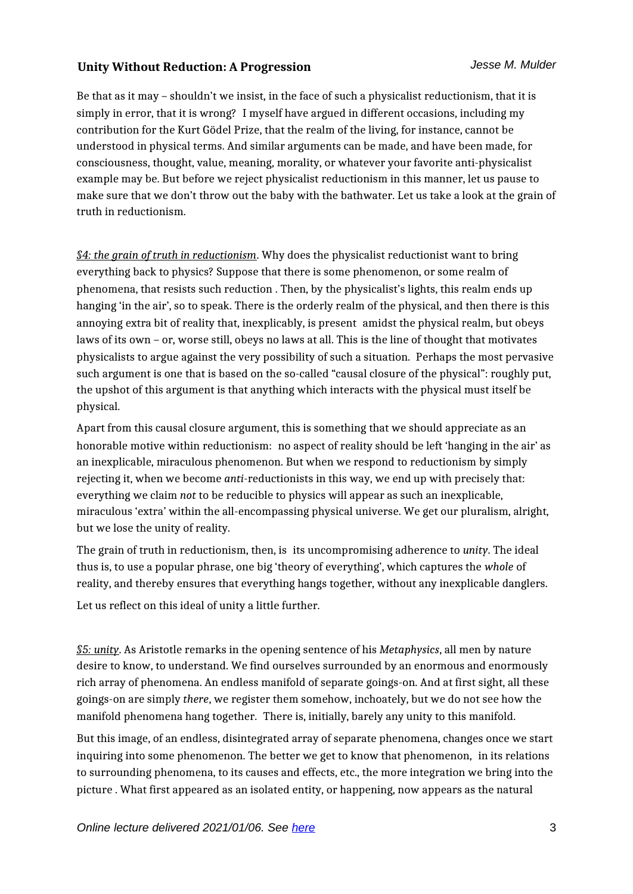Be that as it may – shouldn't we insist, in the face of such a physicalist reductionism, that it is simply in error, that it is wrong? I myself have argued in different occasions, including my contribution for the Kurt Gödel Prize, that the realm of the living, for instance, cannot be understood in physical terms. And similar arguments can be made, and have been made, for consciousness, thought, value, meaning, morality, or whatever your favorite anti-physicalist example may be. But before we reject physicalist reductionism in this manner, let us pause to make sure that we don't throw out the baby with the bathwater. Let us take a look at the grain of truth in reductionism.

*§4: the grain of truth in reductionism*. Why does the physicalist reductionist want to bring everything back to physics? Suppose that there is some phenomenon, or some realm of phenomena, that resists such reduction . Then, by the physicalist's lights, this realm ends up hanging 'in the air', so to speak. There is the orderly realm of the physical, and then there is this annoying extra bit of reality that, inexplicably, is present amidst the physical realm, but obeys laws of its own – or, worse still, obeys no laws at all. This is the line of thought that motivates physicalists to argue against the very possibility of such a situation. Perhaps the most pervasive such argument is one that is based on the so-called "causal closure of the physical": roughly put, the upshot of this argument is that anything which interacts with the physical must itself be physical.

Apart from this causal closure argument, this is something that we should appreciate as an honorable motive within reductionism: no aspect of reality should be left 'hanging in the air' as an inexplicable, miraculous phenomenon. But when we respond to reductionism by simply rejecting it, when we become *anti-*reductionists in this way, we end up with precisely that: everything we claim *not* to be reducible to physics will appear as such an inexplicable, miraculous 'extra' within the all-encompassing physical universe. We get our pluralism, alright, but we lose the unity of reality.

The grain of truth in reductionism, then, is its uncompromising adherence to *unity*. The ideal thus is, to use a popular phrase, one big 'theory of everything', which captures the *whole* of reality, and thereby ensures that everything hangs together, without any inexplicable danglers.

Let us reflect on this ideal of unity a little further.

*§5: unity*. As Aristotle remarks in the opening sentence of his *Metaphysics*, all men by nature desire to know, to understand. We find ourselves surrounded by an enormous and enormously rich array of phenomena. An endless manifold of separate goings-on. And at first sight, all these goings-on are simply *there*, we register them somehow, inchoately, but we do not see how the manifold phenomena hang together. There is, initially, barely any unity to this manifold.

But this image, of an endless, disintegrated array of separate phenomena, changes once we start inquiring into some phenomenon. The better we get to know that phenomenon, in its relations to surrounding phenomena, to its causes and effects, etc., the more integration we bring into the picture . What first appeared as an isolated entity, or happening, now appears as the natural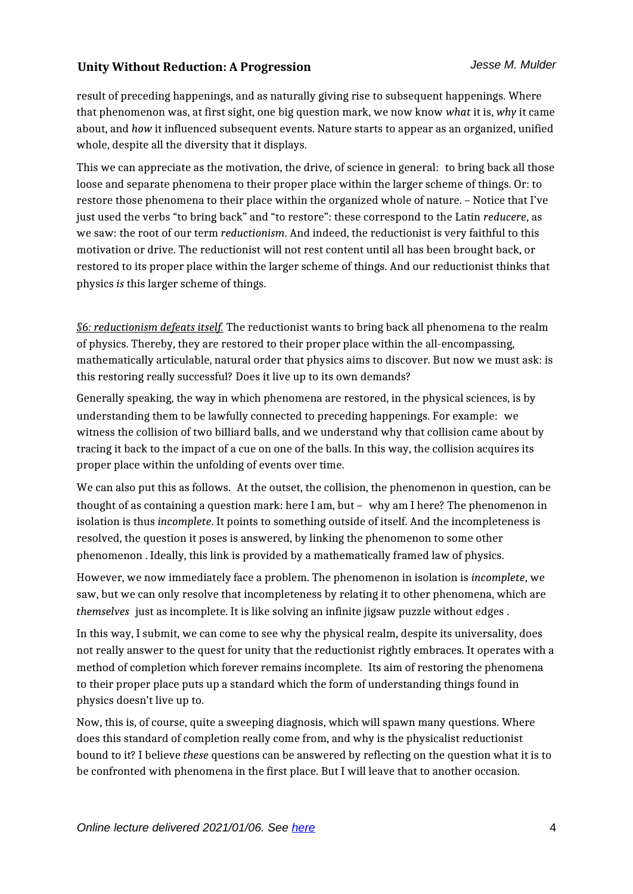result of preceding happenings, and as naturally giving rise to subsequent happenings. Where that phenomenon was, at first sight, one big question mark, we now know *what* it is, *why* it came about, and *how* it influenced subsequent events. Nature starts to appear as an organized, unified whole, despite all the diversity that it displays.

This we can appreciate as the motivation, the drive, of science in general: to bring back all those loose and separate phenomena to their proper place within the larger scheme of things. Or: to restore those phenomena to their place within the organized whole of nature. – Notice that I've just used the verbs "to bring back" and "to restore": these correspond to the Latin *reducere*, as we saw: the root of our term *reductionism*. And indeed, the reductionist is very faithful to this motivation or drive. The reductionist will not rest content until all has been brought back, or restored to its proper place within the larger scheme of things. And our reductionist thinks that physics *is* this larger scheme of things.

*§6: reductionism defeats itself.* The reductionist wants to bring back all phenomena to the realm of physics. Thereby, they are restored to their proper place within the all-encompassing, mathematically articulable, natural order that physics aims to discover. But now we must ask: is this restoring really successful? Does it live up to its own demands?

Generally speaking, the way in which phenomena are restored, in the physical sciences, is by understanding them to be lawfully connected to preceding happenings. For example: we witness the collision of two billiard balls, and we understand why that collision came about by tracing it back to the impact of a cue on one of the balls. In this way, the collision acquires its proper place within the unfolding of events over time.

We can also put this as follows. At the outset, the collision, the phenomenon in question, can be thought of as containing a question mark: here I am, but – why am I here? The phenomenon in isolation is thus *incomplete*. It points to something outside of itself. And the incompleteness is resolved, the question it poses is answered, by linking the phenomenon to some other phenomenon . Ideally, this link is provided by a mathematically framed law of physics.

However, we now immediately face a problem. The phenomenon in isolation is *incomplete*, we saw, but we can only resolve that incompleteness by relating it to other phenomena, which are *themselves* just as incomplete. It is like solving an infinite jigsaw puzzle without edges .

In this way, I submit, we can come to see why the physical realm, despite its universality, does not really answer to the quest for unity that the reductionist rightly embraces. It operates with a method of completion which forever remains incomplete. Its aim of restoring the phenomena to their proper place puts up a standard which the form of understanding things found in physics doesn't live up to.

Now, this is, of course, quite a sweeping diagnosis, which will spawn many questions. Where does this standard of completion really come from, and why is the physicalist reductionist bound to it? I believe *these* questions can be answered by reflecting on the question what it is to be confronted with phenomena in the first place. But I will leave that to another occasion.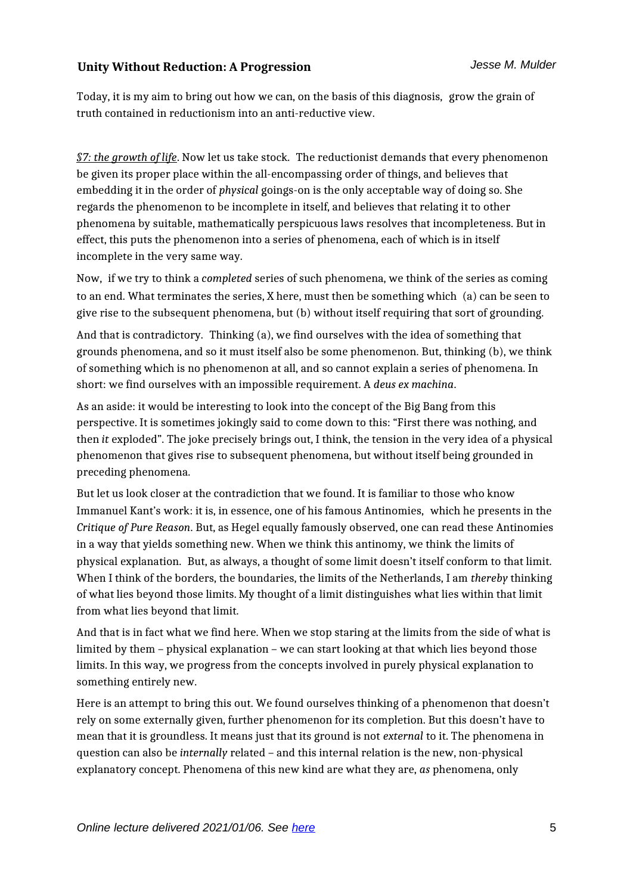Today, it is my aim to bring out how we can, on the basis of this diagnosis, grow the grain of truth contained in reductionism into an anti-reductive view.

*§7: the growth of life*. Now let us take stock. The reductionist demands that every phenomenon be given its proper place within the all-encompassing order of things, and believes that embedding it in the order of *physical* goings-on is the only acceptable way of doing so. She regards the phenomenon to be incomplete in itself, and believes that relating it to other phenomena by suitable, mathematically perspicuous laws resolves that incompleteness. But in effect, this puts the phenomenon into a series of phenomena, each of which is in itself incomplete in the very same way.

Now, if we try to think a *completed* series of such phenomena, we think of the series as coming to an end. What terminates the series, X here, must then be something which (a) can be seen to give rise to the subsequent phenomena, but (b) without itself requiring that sort of grounding.

And that is contradictory. Thinking (a), we find ourselves with the idea of something that grounds phenomena, and so it must itself also be some phenomenon. But, thinking (b), we think of something which is no phenomenon at all, and so cannot explain a series of phenomena. In short: we find ourselves with an impossible requirement. A *deus ex machina*.

As an aside: it would be interesting to look into the concept of the Big Bang from this perspective. It is sometimes jokingly said to come down to this: "First there was nothing, and then *it* exploded". The joke precisely brings out, I think, the tension in the very idea of a physical phenomenon that gives rise to subsequent phenomena, but without itself being grounded in preceding phenomena.

But let us look closer at the contradiction that we found. It is familiar to those who know Immanuel Kant's work: it is, in essence, one of his famous Antinomies, which he presents in the *Critique of Pure Reason*. But, as Hegel equally famously observed, one can read these Antinomies in a way that yields something new. When we think this antinomy, we think the limits of physical explanation. But, as always, a thought of some limit doesn't itself conform to that limit. When I think of the borders, the boundaries, the limits of the Netherlands, I am *thereby* thinking of what lies beyond those limits. My thought of a limit distinguishes what lies within that limit from what lies beyond that limit.

And that is in fact what we find here. When we stop staring at the limits from the side of what is limited by them – physical explanation – we can start looking at that which lies beyond those limits. In this way, we progress from the concepts involved in purely physical explanation to something entirely new.

Here is an attempt to bring this out. We found ourselves thinking of a phenomenon that doesn't rely on some externally given, further phenomenon for its completion. But this doesn't have to mean that it is groundless. It means just that its ground is not *external* to it. The phenomena in question can also be *internally* related – and this internal relation is the new, non-physical explanatory concept. Phenomena of this new kind are what they are, *as* phenomena, only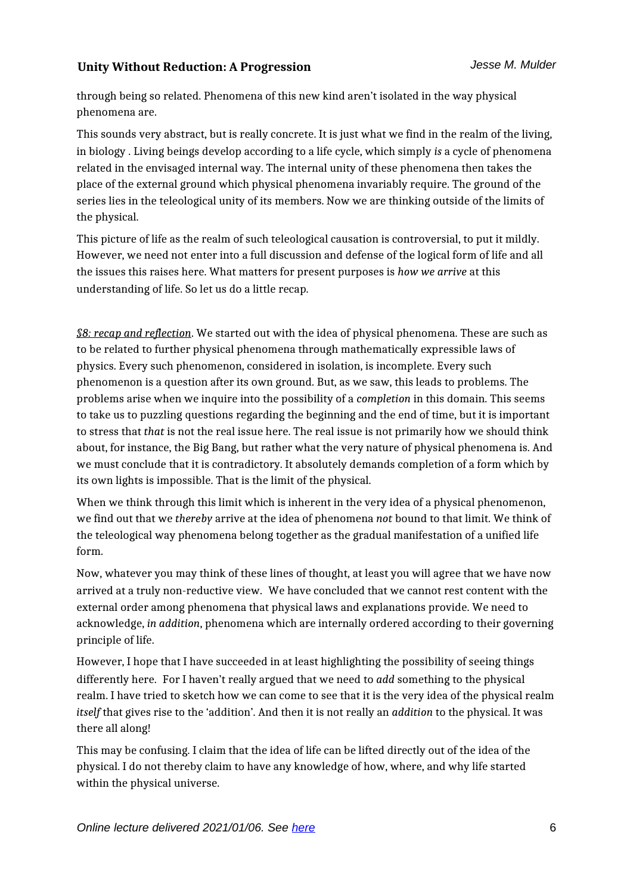through being so related. Phenomena of this new kind aren't isolated in the way physical phenomena are.

This sounds very abstract, but is really concrete. It is just what we find in the realm of the living, in biology . Living beings develop according to a life cycle, which simply *is* a cycle of phenomena related in the envisaged internal way. The internal unity of these phenomena then takes the place of the external ground which physical phenomena invariably require. The ground of the series lies in the teleological unity of its members. Now we are thinking outside of the limits of the physical.

This picture of life as the realm of such teleological causation is controversial, to put it mildly. However, we need not enter into a full discussion and defense of the logical form of life and all the issues this raises here. What matters for present purposes is *how we arrive* at this understanding of life. So let us do a little recap.

*§8: recap and reflection*. We started out with the idea of physical phenomena. These are such as to be related to further physical phenomena through mathematically expressible laws of physics. Every such phenomenon, considered in isolation, is incomplete. Every such phenomenon is a question after its own ground. But, as we saw, this leads to problems. The problems arise when we inquire into the possibility of a *completion* in this domain. This seems to take us to puzzling questions regarding the beginning and the end of time, but it is important to stress that *that* is not the real issue here. The real issue is not primarily how we should think about, for instance, the Big Bang, but rather what the very nature of physical phenomena is. And we must conclude that it is contradictory. It absolutely demands completion of a form which by its own lights is impossible. That is the limit of the physical.

When we think through this limit which is inherent in the very idea of a physical phenomenon, we find out that we *thereby* arrive at the idea of phenomena *not* bound to that limit. We think of the teleological way phenomena belong together as the gradual manifestation of a unified life form.

Now, whatever you may think of these lines of thought, at least you will agree that we have now arrived at a truly non-reductive view. We have concluded that we cannot rest content with the external order among phenomena that physical laws and explanations provide. We need to acknowledge, *in addition*, phenomena which are internally ordered according to their governing principle of life.

However, I hope that I have succeeded in at least highlighting the possibility of seeing things differently here. For I haven't really argued that we need to *add* something to the physical realm. I have tried to sketch how we can come to see that it is the very idea of the physical realm *itself* that gives rise to the 'addition'. And then it is not really an *addition* to the physical. It was there all along!

This may be confusing. I claim that the idea of life can be lifted directly out of the idea of the physical. I do not thereby claim to have any knowledge of how, where, and why life started within the physical universe.